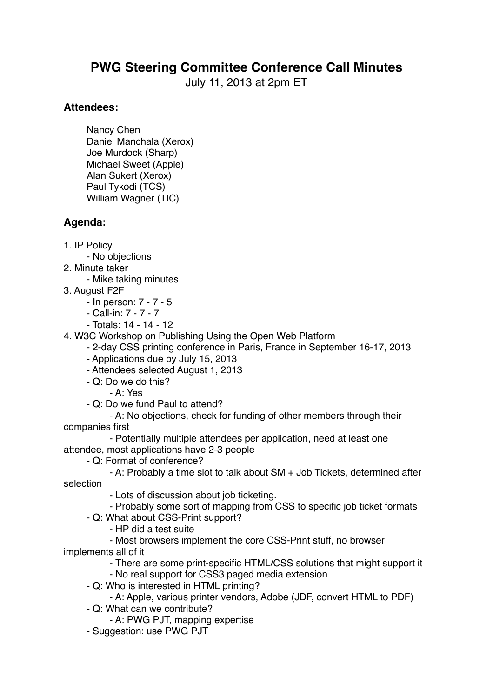## **PWG Steering Committee Conference Call Minutes**

July 11, 2013 at 2pm ET

## **Attendees:**

Nancy Chen Daniel Manchala (Xerox) Joe Murdock (Sharp) Michael Sweet (Apple) Alan Sukert (Xerox) Paul Tykodi (TCS) William Wagner (TIC)

## **Agenda:**

- 1. IP Policy
	- No objections
- 2. Minute taker
	- Mike taking minutes
- 3. August F2F
	- In person: 7 7 5
	- Call-in: 7 7 7
	- Totals: 14 14 12
- 4. W3C Workshop on Publishing Using the Open Web Platform
	- 2-day CSS printing conference in Paris, France in September 16-17, 2013
	- Applications due by July 15, 2013
	- Attendees selected August 1, 2013
	- Q: Do we do this?
		- A: Yes
	- Q: Do we fund Paul to attend?

- A: No objections, check for funding of other members through their companies first

- Potentially multiple attendees per application, need at least one attendee, most applications have 2-3 people
	- Q: Format of conference?

- A: Probably a time slot to talk about SM + Job Tickets, determined after selection

- Lots of discussion about job ticketing.
- Probably some sort of mapping from CSS to specific job ticket formats
- Q: What about CSS-Print support?
	- HP did a test suite
- Most browsers implement the core CSS-Print stuff, no browser implements all of it
	- There are some print-specific HTML/CSS solutions that might support it
	- No real support for CSS3 paged media extension
	- Q: Who is interested in HTML printing?
		- A: Apple, various printer vendors, Adobe (JDF, convert HTML to PDF)
	- Q: What can we contribute?
		- A: PWG PJT, mapping expertise
	- Suggestion: use PWG PJT